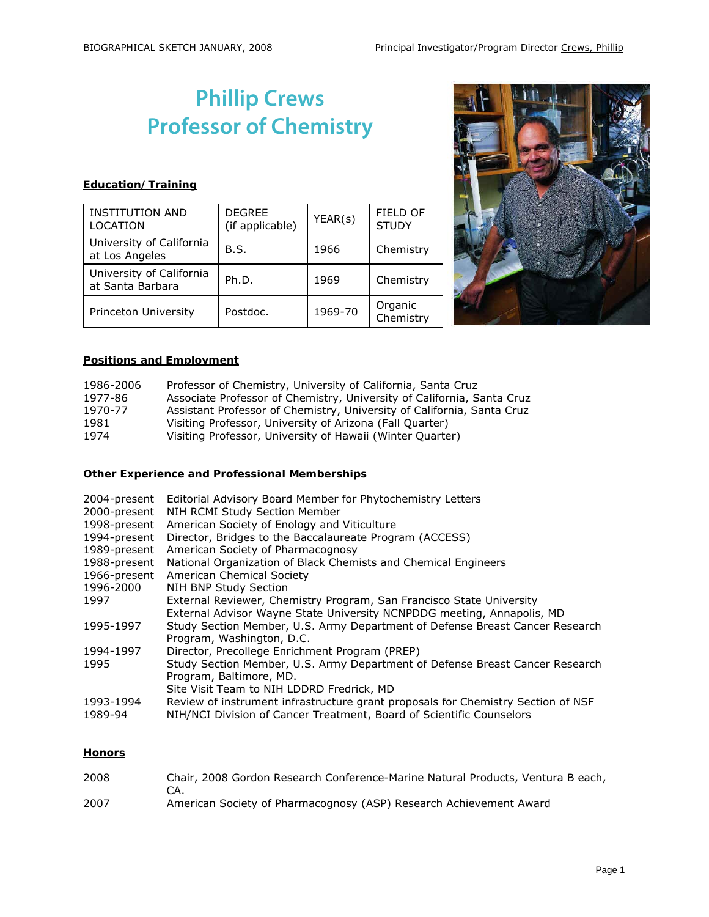# **Phillip Crews Professor of Chemistry**

# **Education/Training**

| <b>INSTITUTION AND</b><br><b>LOCATION</b>    | <b>DEGREE</b><br>(if applicable) | YEAR(s) | FIELD OF<br><b>STUDY</b> |
|----------------------------------------------|----------------------------------|---------|--------------------------|
| University of California<br>at Los Angeles   | B.S.                             | 1966    | Chemistry                |
| University of California<br>at Santa Barbara | Ph.D.                            | 1969    | Chemistry                |
| Princeton University                         | Postdoc.                         | 1969-70 | Organic<br>Chemistry     |



## **Positions and Employment**

| 1986-2006 | Professor of Chemistry, University of California, Santa Cruz           |
|-----------|------------------------------------------------------------------------|
| 1977-86   | Associate Professor of Chemistry, University of California, Santa Cruz |
| 1970-77   | Assistant Professor of Chemistry, University of California, Santa Cruz |
| 1981      | Visiting Professor, University of Arizona (Fall Quarter)               |
| 1974      | Visiting Professor, University of Hawaii (Winter Quarter)              |

## **Other Experience and Professional Memberships**

| 2004-present<br>2000-present | Editorial Advisory Board Member for Phytochemistry Letters<br>NIH RCMI Study Section Member                                                              |
|------------------------------|----------------------------------------------------------------------------------------------------------------------------------------------------------|
| 1998-present                 | American Society of Enology and Viticulture                                                                                                              |
| 1994-present                 | Director, Bridges to the Baccalaureate Program (ACCESS)                                                                                                  |
| 1989-present                 | American Society of Pharmacognosy                                                                                                                        |
| 1988-present                 | National Organization of Black Chemists and Chemical Engineers                                                                                           |
| 1966-present                 | American Chemical Society                                                                                                                                |
| 1996-2000                    | NIH BNP Study Section                                                                                                                                    |
| 1997                         | External Reviewer, Chemistry Program, San Francisco State University<br>External Advisor Wayne State University NCNPDDG meeting, Annapolis, MD           |
| 1995-1997                    | Study Section Member, U.S. Army Department of Defense Breast Cancer Research<br>Program, Washington, D.C.                                                |
| 1994-1997                    | Director, Precollege Enrichment Program (PREP)                                                                                                           |
| 1995                         | Study Section Member, U.S. Army Department of Defense Breast Cancer Research<br>Program, Baltimore, MD.<br>Site Visit Team to NIH LDDRD Fredrick, MD     |
| 1993-1994<br>1989-94         | Review of instrument infrastructure grant proposals for Chemistry Section of NSF<br>NIH/NCI Division of Cancer Treatment, Board of Scientific Counselors |

# **Honors**

| 2008 | Chair, 2008 Gordon Research Conference-Marine Natural Products, Ventura B each, |
|------|---------------------------------------------------------------------------------|
|      |                                                                                 |
| 2007 | American Society of Pharmacognosy (ASP) Research Achievement Award              |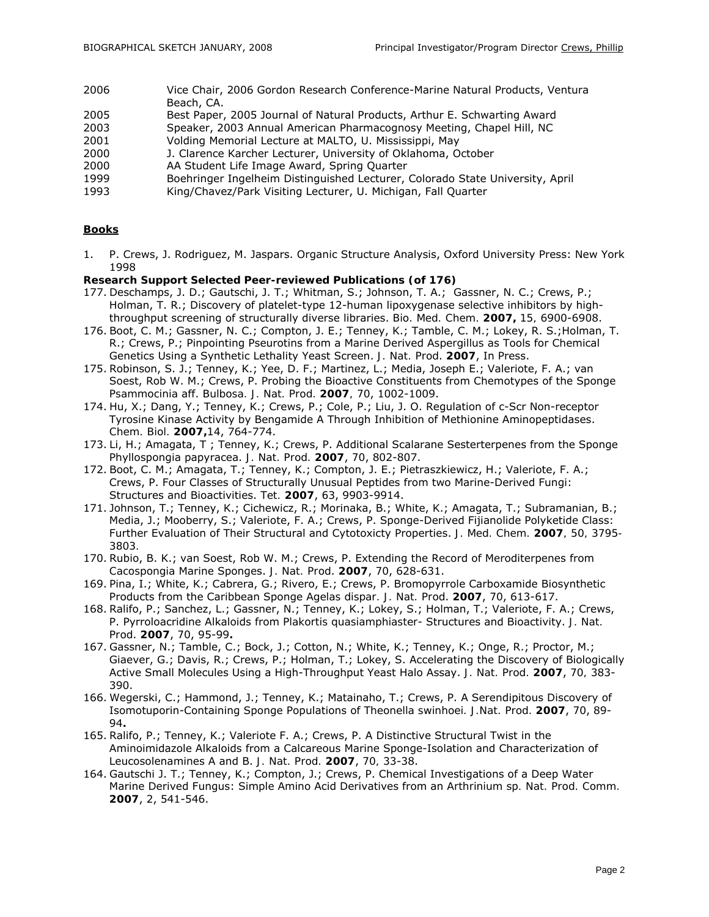- 2006 Vice Chair, 2006 Gordon Research Conference-Marine Natural Products, Ventura Beach, CA.
- 2005 Best Paper, 2005 Journal of Natural Products, Arthur E. Schwarting Award
- 2003 Speaker, 2003 Annual American Pharmacognosy Meeting, Chapel Hill, NC
- 2001 Volding Memorial Lecture at MALTO, U. Mississippi, May
- 2000 J. Clarence Karcher Lecturer, University of Oklahoma, October
- 2000 AA Student Life Image Award, Spring Quarter
- 1999 Boehringer Ingelheim Distinguished Lecturer, Colorado State University, April
- 1993 King/Chavez/Park Visiting Lecturer, U. Michigan, Fall Quarter

#### **Books**

1. P. Crews, J. Rodriguez, M. Jaspars. Organic Structure Analysis, Oxford University Press: New York 1998

#### **Research Support Selected Peer-reviewed Publications (of 176)**

- 177. Deschamps, J. D.; Gautschi, J. T.; Whitman, S.; Johnson, T. A.; Gassner, N. C.; Crews, P.; Holman, T. R.; Discovery of platelet-type 12-human lipoxygenase selective inhibitors by highthroughput screening of structurally diverse libraries. *Bio. Med. Chem.* **2007,** *15,* 6900-6908.
- 176. Boot, C. M.; Gassner, N. C.; Compton, J. E.; Tenney, K.; Tamble, C. M.; Lokey, R. S.;Holman, T. R.; Crews, P.; Pinpointing Pseurotins from a Marine Derived *Aspergillus* as Tools for Chemical Genetics Using a Synthetic Lethality Yeast Screen. *J. Nat. Prod*. **2007**, In Press.
- 175. Robinson, S. J.; Tenney, K.; Yee, D. F.; Martinez, L.; Media, Joseph E.; Valeriote, F. A.; van Soest, Rob W. M.; Crews, P. Probing the Bioactive Constituents from Chemotypes of the Sponge *Psammocinia* aff. *Bulbosa. J. Nat. Prod.* **2007***, 70*, 1002-1009.
- 174. Hu, X.; Dang, Y.; Tenney, K.; Crews, P.; Cole, P.; Liu, J. O. Regulation of c-Scr Non-receptor Tyrosine Kinase Activity by Bengamide A Through Inhibition of Methionine Aminopeptidases. *Chem. Biol.* **2007,***14*, 764-774.
- 173. Li, H.; Amagata, T ; Tenney, K.; Crews, P. Additional Scalarane Sesterterpenes from the Sponge Phyllospongia papyracea. *J. Nat. Prod.* **2007**, *70*, 802-807.
- 172. Boot, C. M.; Amagata, T.; Tenney, K.; Compton, J. E.; Pietraszkiewicz, H.; Valeriote, F. A.; Crews, P. Four Classes of Structurally Unusual Peptides from two Marine-Derived Fungi: Structures and Bioactivities. *Tet.* **2007**, *63*, 9903-9914.
- 171. Johnson, T.; Tenney, K.; Cichewicz, R.; Morinaka, B.; White, K.; Amagata, T.; Subramanian, B.; Media, J.; Mooberry, S.; Valeriote, F. A.; Crews, P. Sponge-Derived Fijianolide Polyketide Class: Further Evaluation of Their Structural and Cytotoxicty Properties. *J. Med. Chem.* **2007***, 50, 3795- 3803.*
- 170. Rubio, B. K.; van Soest, Rob W. M.; Crews, P. Extending the Record of Meroditerpenes from *Cacospongia* Marine Sponges. *J. Nat. Prod*. **2007**, *70*, 628-631.
- 169. Pina, I.; White, K.; Cabrera, G.; Rivero, E.; Crews, P. Bromopyrrole Carboxamide Biosynthetic Products from the Caribbean Sponge *Agelas dispar. J. Nat. Prod*. **2007**, *70*, 613-617.
- 168. Ralifo, P.; Sanchez, L.; Gassner, N.; Tenney, K.; Lokey, S.; Holman, T.; Valeriote, F. A.; Crews, P. Pyrroloacridine Alkaloids from *Plakortis quasiamphiaster*- Structures and Bioactivity. *J. Nat. Prod*. **2007**, *70*, 95-99**.**
- 167. Gassner, N.; Tamble, C.; Bock, J.; Cotton, N.; White, K.; Tenney, K.; Onge, R.; Proctor, M.; Giaever, G.; Davis, R.; Crews, P.; Holman, T.; Lokey, S. Accelerating the Discovery of Biologically Active Small Molecules Using a High-Throughput Yeast Halo Assay. *J. Nat. Prod.* **2007**, *70,* 383- 390.
- 166. Wegerski, C.; Hammond, J.; Tenney, K.; Matainaho, T.; Crews, P. A Serendipitous Discovery of Isomotuporin-Containing Sponge Populations of *Theonella swinhoei. J.Nat. Prod.* **2007**, *70*, 89- 94**.**
- 165. Ralifo, P.; Tenney, K.; Valeriote F. A.; Crews, P. A Distinctive Structural Twist in the Aminoimidazole Alkaloids from a Calcareous Marine Sponge-Isolation and Characterization of Leucosolenamines A and B. *J. Nat. Prod.* **2007**, *70,* 33-38.
- 164. Gautschi J. T.; Tenney, K.; Compton, J.; Crews, P. Chemical Investigations of a Deep Water Marine Derived Fungus: Simple Amino Acid Derivatives from an *Arthrinium* sp*. Nat. Prod. Comm.*  **2007**, *2*, 541-546.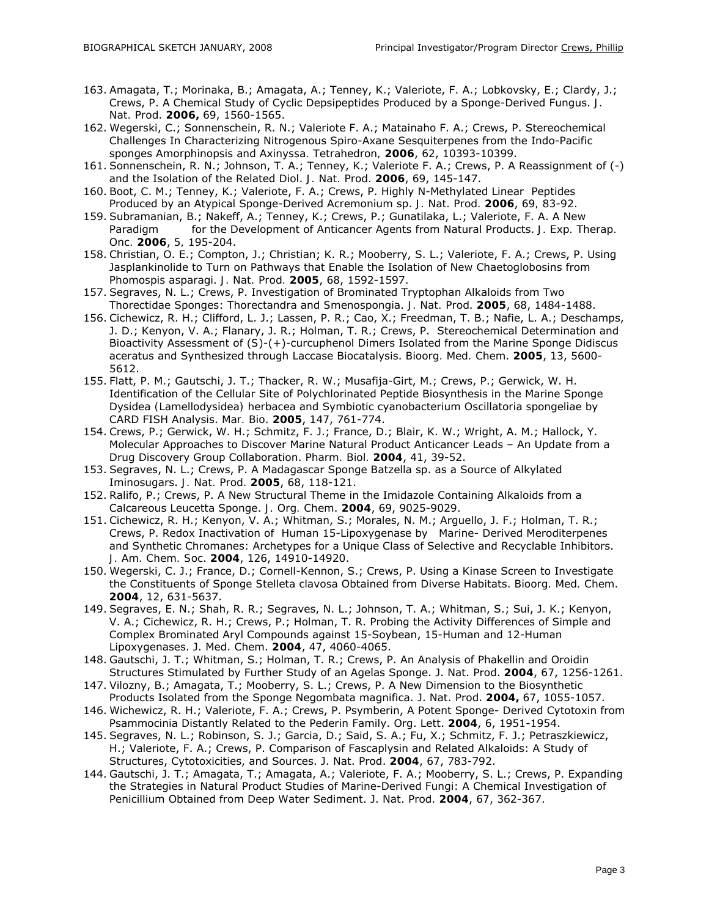- 163. Amagata, T.; Morinaka, B.; Amagata, A.; Tenney, K.; Valeriote, F. A.; Lobkovsky, E.; Clardy, J.; Crews, P. A Chemical Study of Cyclic Depsipeptides Produced by a Sponge-Derived Fungus. *J. Nat. Prod*. **2006,** *69*, 1560-1565.
- 162. Wegerski, C.; Sonnenschein, R. N.; Valeriote F. A.; Matainaho F. A.; Crews, P. Stereochemical Challenges In Characterizing Nitrogenous Spiro-Axane Sesquiterpenes from the Indo-Pacific sponges *Amorphinopsis* and *Axinyssa. Tetrahedron,* **2006**, *62*, 10393-10399.
- 161. Sonnenschein, R. N.; Johnson, T. A.; Tenney, K.; Valeriote F. A.; Crews, P. A Reassignment of (-) and the Isolation of the Related Diol. *J. Nat. Prod.* **2006**, *69*, 145-147.
- 160. Boot, C. M.; Tenney, K.; Valeriote, F. A.; Crews, P. Highly N-Methylated Linear Peptides Produced by an Atypical Sponge-Derived *Acremonium* sp. *J. Nat. Prod.* **2006**, *69,* 83-92.
- 159. Subramanian, B.; Nakeff, A.; Tenney, K.; Crews, P.; Gunatilaka, L.; Valeriote, F. A. A New Paradigm for the Development of Anticancer Agents from Natural Products. *J. Exp. Therap. Onc.* **2006**, *5,* 195-204.
- 158. Christian, O. E.; Compton, J.; Christian; K. R.; Mooberry, S. L.; Valeriote, F. A.; Crews, P. Using Jasplankinolide to Turn on Pathways that Enable the Isolation of New Chaetoglobosins from *Phomospis asparagi*. *J. Nat. Prod.* **2005**, *68*, 1592-1597.
- 157. Segraves, N. L.; Crews, P. Investigation of Brominated Tryptophan Alkaloids from Two Thorectidae Sponges: *Thorectandra* and *Smenospongia*. *J. Nat. Prod*. **2005**, *68*, 1484-1488.
- 156. Cichewicz, R. H.; Clifford, L. J.; Lassen, P. R.; Cao, X.; Freedman, T. B.; Nafie, L. A.; Deschamps, J. D.; Kenyon, V. A.; Flanary, J. R.; Holman, T. R.; Crews, P. Stereochemical Determination and Bioactivity Assessment of (*S*)-(+)-curcuphenol Dimers Isolated from the Marine Sponge Didiscus aceratus and Synthesized through Laccase Biocatalysis. *Bioorg. Med. Chem*. **2005**, *13*, 5600- 5612.
- 155. Flatt, P. M.; Gautschi, J. T.; Thacker, R. W.; Musafija-Girt, M.; Crews, P.; Gerwick, W. H. Identification of the Cellular Site of Polychlorinated Peptide Biosynthesis in the Marine Sponge *Dysidea (Lamellodysidea) herbacea* and Symbiotic cyanobacterium *Oscillatoria spongeliae* by CARD FISH Analysis. *Mar. Bio*. **2005**, *147*, 761-774.
- 154. Crews, P.; Gerwick, W. H.; Schmitz, F. J.; France, D.; Blair, K. W.; Wright, A. M.; Hallock, Y. Molecular Approaches to Discover Marine Natural Product Anticancer Leads – An Update from a Drug Discovery Group Collaboration. *Pharm. Biol.* **2004**, *41*, 39-52.
- 153. Segraves, N. L.; Crews, P. A Madagascar Sponge *Batzella* sp. as a Source of Alkylated Iminosugars. *J. Nat. Prod.* **2005**, *68*, 118-121.
- 152. Ralifo, P.; Crews, P. A New Structural Theme in the Imidazole Containing Alkaloids from a Calcareous *Leucetta* Sponge. *J. Org. Chem*. **2004**, *69*, 9025-9029.
- 151. Cichewicz, R. H.; Kenyon, V. A.; Whitman, S.; Morales, N. M.; Arguello, J. F.; Holman, T. R.; Crews, P. Redox Inactivation of Human 15-Lipoxygenase by Marine- Derived Meroditerpenes and Synthetic Chromanes: Archetypes for a Unique Class of Selective and Recyclable Inhibitors. *J. Am. Chem. Soc*. **2004**, *126*, 14910-14920.
- 150. Wegerski, C. J.; France, D.; Cornell-Kennon, S.; Crews, P. Using a Kinase Screen to Investigate the Constituents of Sponge *Stelleta clavosa* Obtained from Diverse Habitats. *Bioorg. Med. Chem*. **2004**, *12*, 631-5637.
- 149. Segraves, E. N.; Shah, R. R.; Segraves, N. L.; Johnson, T. A.; Whitman, S.; Sui, J. K.; Kenyon, V. A.; Cichewicz, R. H.; Crews, P.; Holman, T. R. Probing the Activity Differences of Simple and Complex Brominated Aryl Compounds against 15-Soybean, 15-Human and 12-Human Lipoxygenases. J. Med. Chem. **2004**, *47*, 4060-4065.
- 148. Gautschi, J. T.; Whitman, S.; Holman, T. R.; Crews, P. An Analysis of Phakellin and Oroidin Structures Stimulated by Further Study of an Agelas Sponge. J. Nat. Prod. **2004**, *67*, 1256-1261.
- 147. Vilozny, B.; Amagata, T.; Mooberry, S. L.; Crews, P. A New Dimension to the Biosynthetic Products Isolated from the Sponge Negombata magnifica. J. Nat. Prod. **2004,** *67*, 1055-1057.
- 146. Wichewicz, R. H.; Valeriote, F. A.; Crews, P. Psymberin, A Potent Sponge- Derived Cytotoxin from Psammocinia Distantly Related to the Pederin Family. Org. Lett. **2004**, *6*, 1951-1954.
- 145. Segraves, N. L.; Robinson, S. J.; Garcia, D.; Said, S. A.; Fu, X.; Schmitz, F. J.; Petraszkiewicz, H.; Valeriote, F. A.; Crews, P. Comparison of Fascaplysin and Related Alkaloids: A Study of Structures, Cytotoxicities, and Sources. J. Nat. Prod. **2004**, *67*, 783-792.
- 144. Gautschi, J. T.; Amagata, T.; Amagata, A.; Valeriote, F. A.; Mooberry, S. L.; Crews, P. Expanding the Strategies in Natural Product Studies of Marine-Derived Fungi: A Chemical Investigation of Penicillium Obtained from Deep Water Sediment. J. Nat. Prod. **2004**, *67*, 362-367.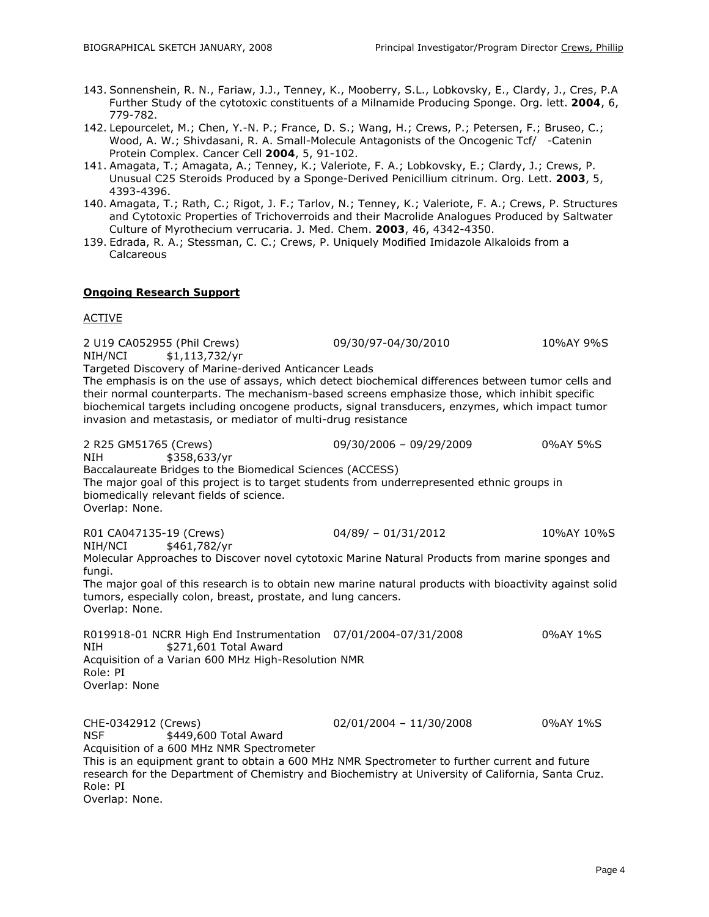- 143. Sonnenshein, R. N., Fariaw, J.J., Tenney, K., Mooberry, S.L., Lobkovsky, E., Clardy, J., Cres, P.A Further Study of the cytotoxic constituents of a Milnamide Producing Sponge. Org. lett. **2004**, *6*, 779-782.
- 142. Lepourcelet, M.; Chen, Y.-N. P.; France, D. S.; Wang, H.; Crews, P.; Petersen, F.; Bruseo, C.; Wood, A. W.; Shivdasani, R. A. Small-Molecule Antagonists of the Oncogenic Tcf/ - Catenin Protein Complex. Cancer Cell **2004**, *5*, 91-102.
- 141. Amagata, T.; Amagata, A.; Tenney, K.; Valeriote, F. A.; Lobkovsky, E.; Clardy, J.; Crews, P. Unusual C25 Steroids Produced by a Sponge-Derived Penicillium citrinum. Org. Lett. **2003**, *5*, 4393-4396.
- 140. Amagata, T.; Rath, C.; Rigot, J. F.; Tarlov, N.; Tenney, K.; Valeriote, F. A.; Crews, P. Structures and Cytotoxic Properties of Trichoverroids and their Macrolide Analogues Produced by Saltwater Culture of Myrothecium verrucaria. J. Med. Chem. **2003**, *46*, 4342-4350.
- 139. Edrada, R. A.; Stessman, C. C.; Crews, P. Uniquely Modified Imidazole Alkaloids from a **Calcareous**

## **Ongoing Research Support**

### ACTIVE

2 U19 CA052955 (Phil Crews) 09/30/97-04/30/2010 10%AY 9%S NIH/NCI \$1,113,732/yr Targeted Discovery of Marine-derived Anticancer Leads The emphasis is on the use of assays, which detect biochemical differences between tumor cells and their normal counterparts. The mechanism-based screens emphasize those, which inhibit specific biochemical targets including oncogene products, signal transducers, enzymes, which impact tumor invasion and metastasis, or mediator of multi-drug resistance 2 R25 GM51765 (Crews) 09/30/2006 – 09/29/2009 0%AY 5%S NIH \$358,633/yr Baccalaureate Bridges to the Biomedical Sciences (ACCESS)

The major goal of this project is to target students from underrepresented ethnic groups in biomedically relevant fields of science.

Overlap: None.

R01 CA047135-19 (Crews) 04/89/ – 01/31/2012 10%AY 10%S NIH/NCI \$461,782/yr

Molecular Approaches to Discover novel cytotoxic Marine Natural Products from marine sponges and fungi.

The major goal of this research is to obtain new marine natural products with bioactivity against solid tumors, especially colon, breast, prostate, and lung cancers. Overlap: None.

R019918-01 NCRR High End Instrumentation 07/01/2004-07/31/2008 0%AY 1%S NIH \$271,601 Total Award Acquisition of a Varian 600 MHz High-Resolution NMR Role: PI Overlap: None

CHE-0342912 (Crews) 02/01/2004 – 11/30/2008 0%AY 1%S NSF \$449,600 Total Award Acquisition of a 600 MHz NMR Spectrometer This is an equipment grant to obtain a 600 MHz NMR Spectrometer to further current and future research for the Department of Chemistry and Biochemistry at University of California, Santa Cruz. Role: PI

Overlap: None.